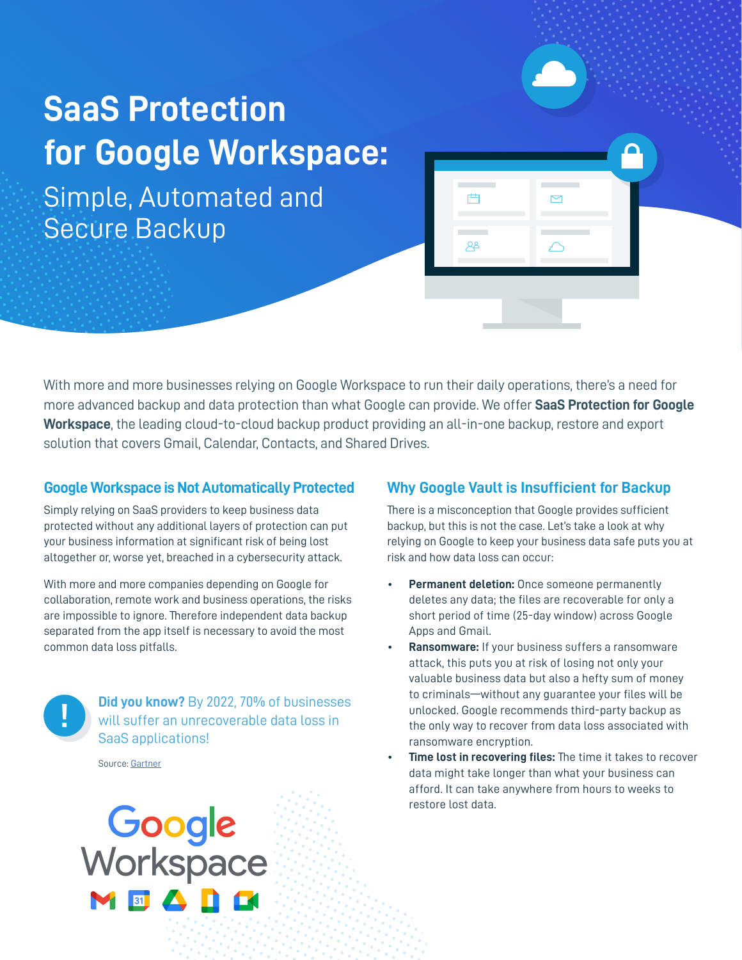## **SaaS Protection for Google Workspace:**

Simple, Automated and Secure Backup

With more and more businesses relying on Google Workspace to run their daily operations, there's a need for more advanced backup and data protection than what Google can provide. We offer **SaaS Protection for Google Workspace**, the leading cloud-to-cloud backup product providing an all-in-one backup, restore and export solution that covers Gmail, Calendar, Contacts, and Shared Drives.

#### **Google Workspace is Not Automatically Protected**

Simply relying on SaaS providers to keep business data protected without any additional layers of protection can put your business information at significant risk of being lost altogether or, worse yet, breached in a cybersecurity attack.

With more and more companies depending on Google for collaboration, remote work and business operations, the risks are impossible to ignore. Therefore independent data backup separated from the app itself is necessary to avoid the most common data loss pitfalls.



**Did you know?** By 2022, 70% of businesses will suffer an unrecoverable data loss in SaaS applications!

Source: [Gartner](https://www.gartner.com/en/documents/3913382/assuming-saas-applications-don-t-require-backup-is-dange)

# **Google**<br>Workspace 8 4 6 6

#### **Why Google Vault is Insufficient for Backup**

曲

 $A^2$ 

There is a misconception that Google provides sufficient backup, but this is not the case. Let's take a look at why relying on Google to keep your business data safe puts you at risk and how data loss can occur:

- **Permanent deletion:** Once someone permanently deletes any data; the files are recoverable for only a short period of time (25-day window) across Google Apps and Gmail.
- **Ransomware:** If your business suffers a ransomware attack, this puts you at risk of losing not only your valuable business data but also a hefty sum of money to criminals—without any guarantee your files will be unlocked. Google recommends third-party backup as the only way to recover from data loss associated with ransomware encryption.
- **Time lost in recovering files:** The time it takes to recover data might take longer than what your business can afford. It can take anywhere from hours to weeks to restore lost data.